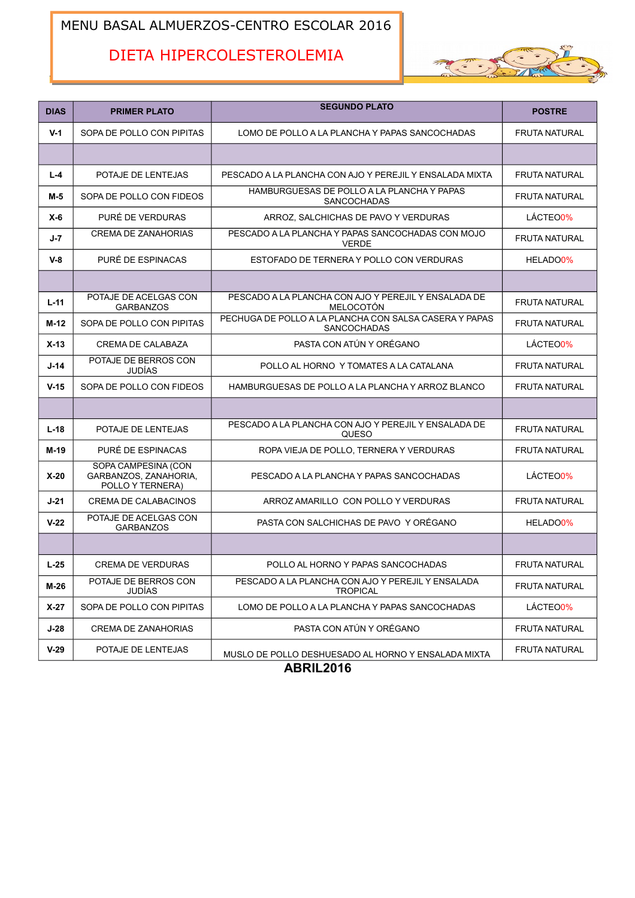## MENU BASAL ALMUERZOS-CENTRO ESCOLAR 2016

# DIETA HIPERCOLESTEROLEMIA



| <b>DIAS</b> | <b>PRIMER PLATO</b>                                              | <b>SEGUNDO PLATO</b>                                                  | <b>POSTRE</b>         |
|-------------|------------------------------------------------------------------|-----------------------------------------------------------------------|-----------------------|
| $V-1$       | SOPA DE POLLO CON PIPITAS                                        | LOMO DE POLLO A LA PLANCHA Y PAPAS SANCOCHADAS                        | <b>FRUTA NATURAL</b>  |
|             |                                                                  |                                                                       |                       |
| $L - 4$     | POTAJE DE LENTEJAS                                               | PESCADO A LA PLANCHA CON AJO Y PEREJIL Y ENSALADA MIXTA               | <b>FRUTA NATURAL</b>  |
| M-5         | SOPA DE POLLO CON FIDEOS                                         | HAMBURGUESAS DE POLLO A LA PLANCHA Y PAPAS<br><b>SANCOCHADAS</b>      | <b>FRUTA NATURAL</b>  |
| $X-6$       | PURÉ DE VERDURAS                                                 | ARROZ, SALCHICHAS DE PAVO Y VERDURAS                                  | LÁCTEO0%              |
| $J - 7$     | <b>CREMA DE ZANAHORIAS</b>                                       | PESCADO A LA PLANCHA Y PAPAS SANCOCHADAS CON MOJO<br><b>VERDE</b>     | <b>FRUTA NATURAL</b>  |
| $V-8$       | PURÉ DE ESPINACAS                                                | ESTOFADO DE TERNERA Y POLLO CON VERDURAS                              | HELADO <sub>0%</sub>  |
|             |                                                                  |                                                                       |                       |
| $L - 11$    | POTAJE DE ACELGAS CON<br><b>GARBANZOS</b>                        | PESCADO A LA PLANCHA CON AJO Y PEREJIL Y ENSALADA DE<br>MELOCOTÓN     | <b>FRUTA NATURAL</b>  |
| M-12        | SOPA DE POLLO CON PIPITAS                                        | PECHUGA DE POLLO A LA PLANCHA CON SALSA CASERA Y PAPAS<br>SANCOCHADAS | <b>FRUTA NATURAL</b>  |
| $X-13$      | <b>CREMA DE CALABAZA</b>                                         | PASTA CON ATÚN Y ORÉGANO                                              | LÁCTEO <sub>0%</sub>  |
| $J-14$      | POTAJE DE BERROS CON<br><b>JUDÍAS</b>                            | POLLO AL HORNO Y TOMATES A LA CATALANA                                | <b>FRUTA NATURAL</b>  |
| $V-15$      | SOPA DE POLLO CON FIDEOS                                         | HAMBURGUESAS DE POLLO A LA PLANCHA Y ARROZ BLANCO                     | <b>FRUTA NATURAL</b>  |
|             |                                                                  |                                                                       |                       |
| $L-18$      | POTAJE DE LENTEJAS                                               | PESCADO A LA PLANCHA CON AJO Y PEREJIL Y ENSALADA DE<br>QUESO         | <b>FRUTA NATURAL</b>  |
| M-19        | PURÉ DE ESPINACAS                                                | ROPA VIEJA DE POLLO, TERNERA Y VERDURAS                               | <b>FRUTA NATURAL</b>  |
| $X-20$      | SOPA CAMPESINA (CON<br>GARBANZOS, ZANAHORIA,<br>POLLO Y TERNERA) | PESCADO A LA PLANCHA Y PAPAS SANCOCHADAS                              | LÁCTEO0%              |
| $J-21$      | CREMA DE CALABACINOS                                             | ARROZ AMARILLO CON POLLO Y VERDURAS                                   | <b>FRUTA NATURAL</b>  |
| $V-22$      | POTAJE DE ACELGAS CON<br><b>GARBANZOS</b>                        | PASTA CON SALCHICHAS DE PAVO Y ORÉGANO                                | HELADO <sub>0</sub> % |
|             |                                                                  |                                                                       |                       |
| $L-25$      | <b>CREMA DE VERDURAS</b>                                         | POLLO AL HORNO Y PAPAS SANCOCHADAS                                    | <b>FRUTA NATURAL</b>  |
| M-26        | POTAJE DE BERROS CON<br><b>JUDÍAS</b>                            | PESCADO A LA PLANCHA CON AJO Y PEREJIL Y ENSALADA<br><b>TROPICAL</b>  | <b>FRUTA NATURAL</b>  |
| $X-27$      | SOPA DE POLLO CON PIPITAS                                        | LOMO DE POLLO A LA PLANCHA Y PAPAS SANCOCHADAS                        | LÁCTEO0%              |
| $J-28$      | <b>CREMA DE ZANAHORIAS</b>                                       | PASTA CON ATÚN Y ORÉGANO                                              | <b>FRUTA NATURAL</b>  |
| $V-29$      | POTAJE DE LENTEJAS                                               | MUSLO DE POLLO DESHUESADO AL HORNO Y ENSALADA MIXTA                   | <b>FRUTA NATURAL</b>  |

**ABRIL2016**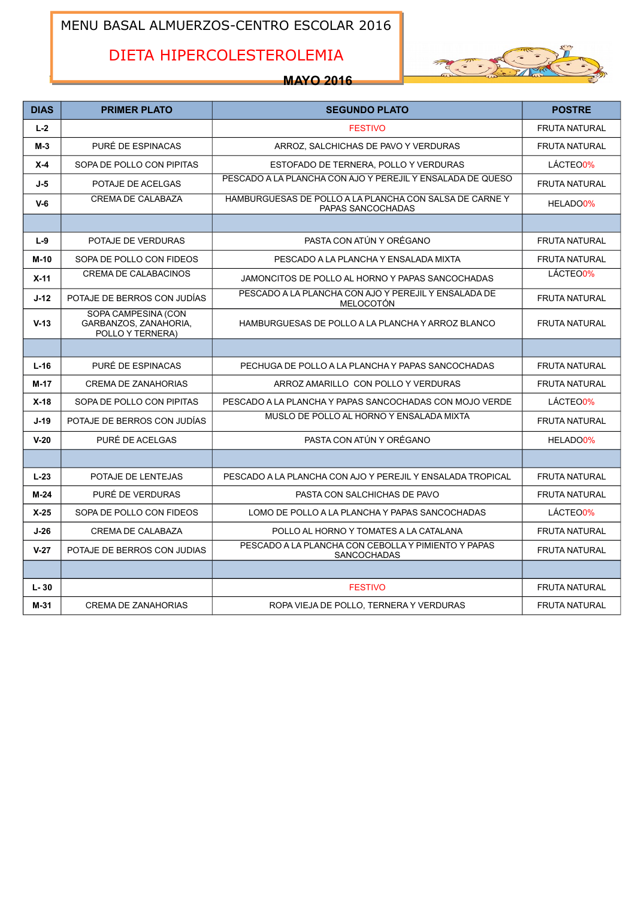## MENU BASAL ALMUERZOS-CENTRO ESCOLAR 2016

# DIETA HIPERCOLESTEROLEMIA



## **MAYO 2016**

| <b>DIAS</b> | <b>PRIMER PLATO</b>                                              | <b>SEGUNDO PLATO</b>                                                        | <b>POSTRE</b>        |
|-------------|------------------------------------------------------------------|-----------------------------------------------------------------------------|----------------------|
| $L-2$       |                                                                  | <b>FESTIVO</b>                                                              | <b>FRUTA NATURAL</b> |
| $M-3$       | PURÉ DE ESPINACAS                                                | ARROZ, SALCHICHAS DE PAVO Y VERDURAS                                        | <b>FRUTA NATURAL</b> |
| $X-4$       | SOPA DE POLLO CON PIPITAS                                        | ESTOFADO DE TERNERA, POLLO Y VERDURAS                                       | LÁCTEO0%             |
| $J-5$       | POTAJE DE ACELGAS                                                | PESCADO A LA PLANCHA CON AJO Y PEREJIL Y ENSALADA DE QUESO                  | <b>FRUTA NATURAL</b> |
| $V-6$       | <b>CREMA DE CALABAZA</b>                                         | HAMBURGUESAS DE POLLO A LA PLANCHA CON SALSA DE CARNEY<br>PAPAS SANCOCHADAS | HELADO0%             |
|             |                                                                  |                                                                             |                      |
| $L-9$       | POTAJE DE VERDURAS                                               | PASTA CON ATÚN Y ORÉGANO                                                    | <b>FRUTA NATURAL</b> |
| $M-10$      | SOPA DE POLLO CON FIDEOS                                         | PESCADO A LA PLANCHA Y ENSALADA MIXTA                                       | <b>FRUTA NATURAL</b> |
| $X-11$      | <b>CREMA DE CALABACINOS</b>                                      | JAMONCITOS DE POLLO AL HORNO Y PAPAS SANCOCHADAS                            | LÁCTEO0%             |
| $J-12$      | POTAJE DE BERROS CON JUDÍAS                                      | PESCADO A LA PLANCHA CON AJO Y PEREJIL Y ENSALADA DE<br><b>MELOCOTÓN</b>    | <b>FRUTA NATURAL</b> |
| $V-13$      | SOPA CAMPESINA (CON<br>GARBANZOS, ZANAHORIA.<br>POLLO Y TERNERA) | HAMBURGUESAS DE POLLO A LA PLANCHA Y ARROZ BLANCO                           | <b>FRUTA NATURAL</b> |
|             |                                                                  |                                                                             |                      |
| $L-16$      | PURÉ DE ESPINACAS                                                | PECHUGA DE POLLO A LA PLANCHA Y PAPAS SANCOCHADAS                           | <b>FRUTA NATURAL</b> |
| $M-17$      | <b>CREMA DE ZANAHORIAS</b>                                       | ARROZ AMARILLO CON POLLO Y VERDURAS                                         | <b>FRUTA NATURAL</b> |
| $X-18$      | SOPA DE POLLO CON PIPITAS                                        | PESCADO A LA PLANCHA Y PAPAS SANCOCHADAS CON MOJO VERDE                     | LÁCTEO0%             |
| $J-19$      | POTAJE DE BERROS CON JUDÍAS                                      | MUSLO DE POLLO AL HORNO Y ENSALADA MIXTA                                    | <b>FRUTA NATURAL</b> |
| $V-20$      | PURÉ DE ACELGAS                                                  | PASTA CON ATÚN Y ORÉGANO                                                    | HELADO0%             |
|             |                                                                  |                                                                             |                      |
| $L-23$      | POTAJE DE LENTEJAS                                               | PESCADO A LA PLANCHA CON AJO Y PEREJIL Y ENSALADA TROPICAL                  | <b>FRUTA NATURAL</b> |
| $M-24$      | PURÉ DE VERDURAS                                                 | PASTA CON SALCHICHAS DE PAVO                                                | <b>FRUTA NATURAL</b> |
| $X-25$      | SOPA DE POLLO CON FIDEOS                                         | LOMO DE POLLO A LA PLANCHA Y PAPAS SANCOCHADAS                              | LÁCTEO0%             |
| $J-26$      | <b>CREMA DE CALABAZA</b>                                         | POLLO AL HORNO Y TOMATES A LA CATALANA                                      | <b>FRUTA NATURAL</b> |
| $V-27$      | POTAJE DE BERROS CON JUDIAS                                      | PESCADO A LA PLANCHA CON CEBOLLA Y PIMIENTO Y PAPAS<br>SANCOCHADAS          | <b>FRUTA NATURAL</b> |
|             |                                                                  |                                                                             |                      |
| $L - 30$    |                                                                  | <b>FESTIVO</b>                                                              | <b>FRUTA NATURAL</b> |
| $M-31$      | <b>CREMA DE ZANAHORIAS</b>                                       | ROPA VIEJA DE POLLO. TERNERA Y VERDURAS                                     | <b>FRUTA NATURAL</b> |